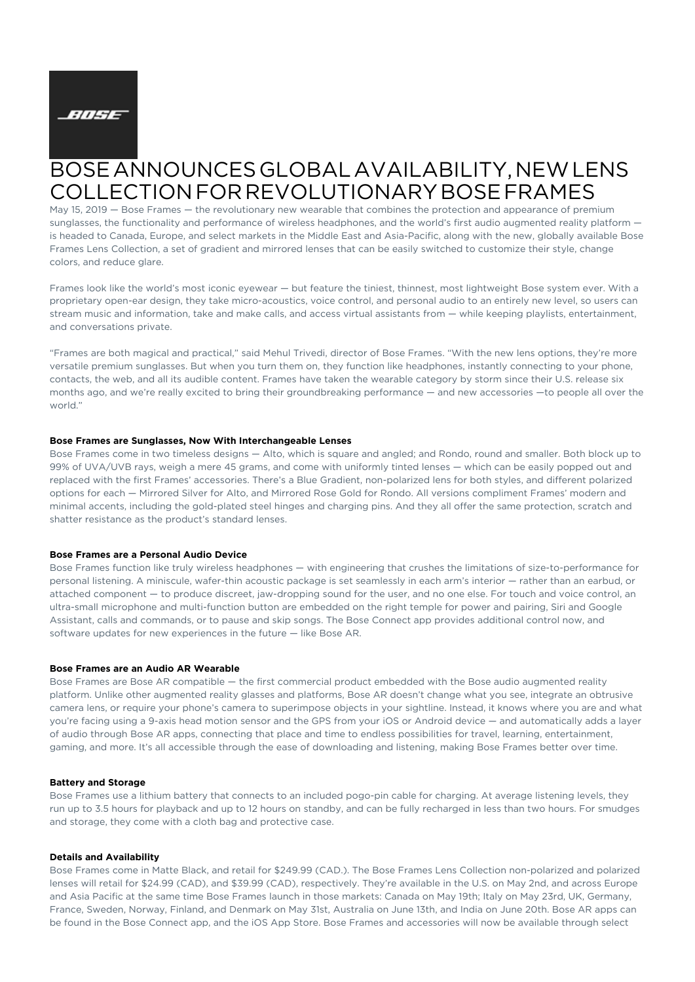

# BOSE ANNOUNCES GLOBAL AVAILABILITY, NEW LENS COLLECTION FOR REVOLUTIONARY BOSE FRAMES

May 15, 2019 — Bose Frames — the revolutionary new wearable that combines the protection and appearance of premium sunglasses, the functionality and performance of wireless headphones, and the world's first audio augmented reality platform is headed to Canada, Europe, and select markets in the Middle East and Asia-Pacific, along with the new, globally available Bose Frames Lens Collection, a set of gradient and mirrored lenses that can be easily switched to customize their style, change colors, and reduce glare.

Frames look like the world's most iconic eyewear — but feature the tiniest, thinnest, most lightweight Bose system ever. With a proprietary open-ear design, they take micro-acoustics, voice control, and personal audio to an entirely new level, so users can stream music and information, take and make calls, and access virtual assistants from — while keeping playlists, entertainment, and conversations private.

"Frames are both magical and practical," said Mehul Trivedi, director of Bose Frames. "With the new lens options, they're more versatile premium sunglasses. But when you turn them on, they function like headphones, instantly connecting to your phone, contacts, the web, and all its audible content. Frames have taken the wearable category by storm since their U.S. release six months ago, and we're really excited to bring their groundbreaking performance — and new accessories —to people all over the world."

#### **Bose Frames are Sunglasses, Now With Interchangeable Lenses**

Bose Frames come in two timeless designs — Alto, which is square and angled; and Rondo, round and smaller. Both block up to 99% of UVA/UVB rays, weigh a mere 45 grams, and come with uniformly tinted lenses — which can be easily popped out and replaced with the first Frames' accessories. There's a Blue Gradient, non-polarized lens for both styles, and different polarized options for each — Mirrored Silver for Alto, and Mirrored Rose Gold for Rondo. All versions compliment Frames' modern and minimal accents, including the gold-plated steel hinges and charging pins. And they all offer the same protection, scratch and shatter resistance as the product's standard lenses.

#### **Bose Frames are a Personal Audio Device**

Bose Frames function like truly wireless headphones — with engineering that crushes the limitations of size-to-performance for personal listening. A miniscule, wafer-thin acoustic package is set seamlessly in each arm's interior — rather than an earbud, or attached component — to produce discreet, jaw-dropping sound for the user, and no one else. For touch and voice control, an ultra-small microphone and multi-function button are embedded on the right temple for power and pairing, Siri and Google Assistant, calls and commands, or to pause and skip songs. The Bose Connect app provides additional control now, and software updates for new experiences in the future — like Bose AR.

# **Bose Frames are an Audio AR Wearable**

Bose Frames are Bose AR compatible — the first commercial product embedded with the Bose audio augmented reality platform. Unlike other augmented reality glasses and platforms, Bose AR doesn't change what you see, integrate an obtrusive camera lens, or require your phone's camera to superimpose objects in your sightline. Instead, it knows where you are and what you're facing using a 9-axis head motion sensor and the GPS from your iOS or Android device — and automatically adds a layer of audio through Bose AR apps, connecting that place and time to endless possibilities for travel, learning, entertainment, gaming, and more. It's all accessible through the ease of downloading and listening, making Bose Frames better over time.

### **Battery and Storage**

Bose Frames use a lithium battery that connects to an included pogo-pin cable for charging. At average listening levels, they run up to 3.5 hours for playback and up to 12 hours on standby, and can be fully recharged in less than two hours. For smudges and storage, they come with a cloth bag and protective case.

#### **Details and Availability**

Bose Frames come in Matte Black, and retail for \$249.99 (CAD.). The Bose Frames Lens Collection non-polarized and polarized lenses will retail for \$24.99 (CAD), and \$39.99 (CAD), respectively. They're available in the U.S. on May 2nd, and across Europe and Asia Pacific at the same time Bose Frames launch in those markets: Canada on May 19th; Italy on May 23rd, UK, Germany, France, Sweden, Norway, Finland, and Denmark on May 31st, Australia on June 13th, and India on June 20th. Bose AR apps can be found in the Bose Connect app, and the iOS App Store. Bose Frames and accessories will now be available through select